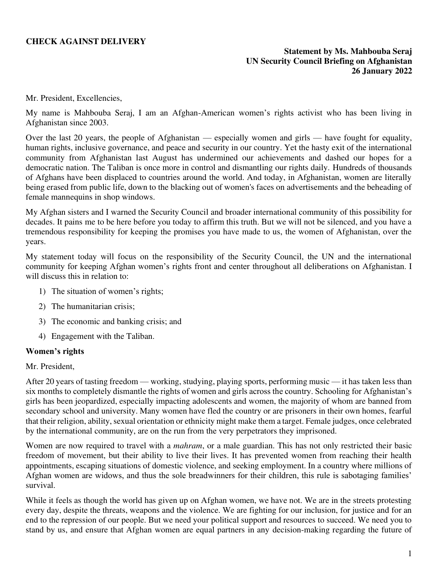# **CHECK AGAINST DELIVERY**

### **Statement by Ms. Mahbouba Seraj UN Security Council Briefing on Afghanistan 26 January 2022**

Mr. President, Excellencies,

My name is Mahbouba Seraj, I am an Afghan-American women's rights activist who has been living in Afghanistan since 2003.

Over the last 20 years, the people of Afghanistan — especially women and girls — have fought for equality, human rights, inclusive governance, and peace and security in our country. Yet the hasty exit of the international community from Afghanistan last August has undermined our achievements and dashed our hopes for a democratic nation. The Taliban is once more in control and dismantling our rights daily. Hundreds of thousands of Afghans have been displaced to countries around the world. And today, in Afghanistan, women are literally being erased from public life, down to the blacking out of women's faces on advertisements and the beheading of female mannequins in shop windows.

My Afghan sisters and I warned the Security Council and broader international community of this possibility for decades. It pains me to be here before you today to affirm this truth. But we will not be silenced, and you have a tremendous responsibility for keeping the promises you have made to us, the women of Afghanistan, over the years.

My statement today will focus on the responsibility of the Security Council, the UN and the international community for keeping Afghan women's rights front and center throughout all deliberations on Afghanistan. I will discuss this in relation to:

- 1) The situation of women's rights;
- 2) The humanitarian crisis;
- 3) The economic and banking crisis; and
- 4) Engagement with the Taliban.

#### **Women's rights**

#### Mr. President,

After 20 years of tasting freedom — working, studying, playing sports, performing music — it has taken less than six months to completely dismantle the rights of women and girls across the country. Schooling for Afghanistan's girls has been jeopardized, especially impacting adolescents and women, the majority of whom are banned from secondary school and university. Many women have fled the country or are prisoners in their own homes, fearful that their religion, ability, sexual orientation or ethnicity might make them a target. Female judges, once celebrated by the international community, are on the run from the very perpetrators they imprisoned.

Women are now required to travel with a *mahram*, or a male guardian. This has not only restricted their basic freedom of movement, but their ability to live their lives. It has prevented women from reaching their health appointments, escaping situations of domestic violence, and seeking employment. In a country where millions of Afghan women are widows, and thus the sole breadwinners for their children, this rule is sabotaging families' survival.

While it feels as though the world has given up on Afghan women, we have not. We are in the streets protesting every day, despite the threats, weapons and the violence. We are fighting for our inclusion, for justice and for an end to the repression of our people. But we need your political support and resources to succeed. We need you to stand by us, and ensure that Afghan women are equal partners in any decision-making regarding the future of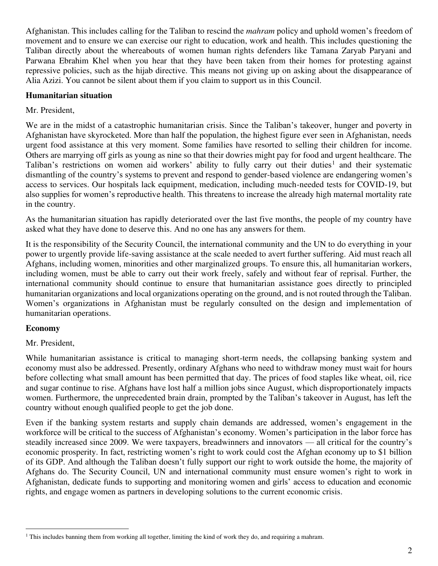Afghanistan. This includes calling for the Taliban to rescind the *mahram* policy and uphold women's freedom of movement and to ensure we can exercise our right to education, work and health. This includes questioning the Taliban directly about the whereabouts of women human rights defenders like Tamana Zaryab Paryani and Parwana Ebrahim Khel when you hear that they have been taken from their homes for protesting against repressive policies, such as the hijab directive. This means not giving up on asking about the disappearance of Alia Azizi. You cannot be silent about them if you claim to support us in this Council.

# **Humanitarian situation**

# Mr. President,

We are in the midst of a catastrophic humanitarian crisis. Since the Taliban's takeover, hunger and poverty in Afghanistan have skyrocketed. More than half the population, the highest figure ever seen in Afghanistan, needs urgent food assistance at this very moment. Some families have resorted to selling their children for income. Others are marrying off girls as young as nine so that their dowries might pay for food and urgent healthcare. The Taliban's restrictions on women aid workers' ability to fully carry out their duties<sup>1</sup> and their systematic dismantling of the country's systems to prevent and respond to gender-based violence are endangering women's access to services. Our hospitals lack equipment, medication, including much-needed tests for COVID-19, but also supplies for women's reproductive health. This threatens to increase the already high maternal mortality rate in the country.

As the humanitarian situation has rapidly deteriorated over the last five months, the people of my country have asked what they have done to deserve this. And no one has any answers for them.

It is the responsibility of the Security Council, the international community and the UN to do everything in your power to urgently provide life-saving assistance at the scale needed to avert further suffering. Aid must reach all Afghans, including women, minorities and other marginalized groups. To ensure this, all humanitarian workers, including women, must be able to carry out their work freely, safely and without fear of reprisal. Further, the international community should continue to ensure that humanitarian assistance goes directly to principled humanitarian organizations and local organizations operating on the ground, and is not routed through the Taliban. Women's organizations in Afghanistan must be regularly consulted on the design and implementation of humanitarian operations.

### **Economy**

### Mr. President,

While humanitarian assistance is critical to managing short-term needs, the collapsing banking system and economy must also be addressed. Presently, ordinary Afghans who need to withdraw money must wait for hours before collecting what small amount has been permitted that day. The prices of food staples like wheat, oil, rice and sugar continue to rise. Afghans have lost half a million jobs since August, which disproportionately impacts women. Furthermore, the unprecedented brain drain, prompted by the Taliban's takeover in August, has left the country without enough qualified people to get the job done.

Even if the banking system restarts and supply chain demands are addressed, women's engagement in the workforce will be critical to the success of Afghanistan's economy. Women's participation in the labor force has steadily increased since 2009. We were taxpayers, breadwinners and innovators — all critical for the country's economic prosperity. In fact, restricting women's right to work could cost the Afghan economy up to \$1 billion of its GDP. And although the Taliban doesn't fully support our right to work outside the home, the majority of Afghans do. The Security Council, UN and international community must ensure women's right to work in Afghanistan, dedicate funds to supporting and monitoring women and girls' access to education and economic rights, and engage women as partners in developing solutions to the current economic crisis.

<sup>&</sup>lt;sup>1</sup> This includes banning them from working all together, limiting the kind of work they do, and requiring a mahram.